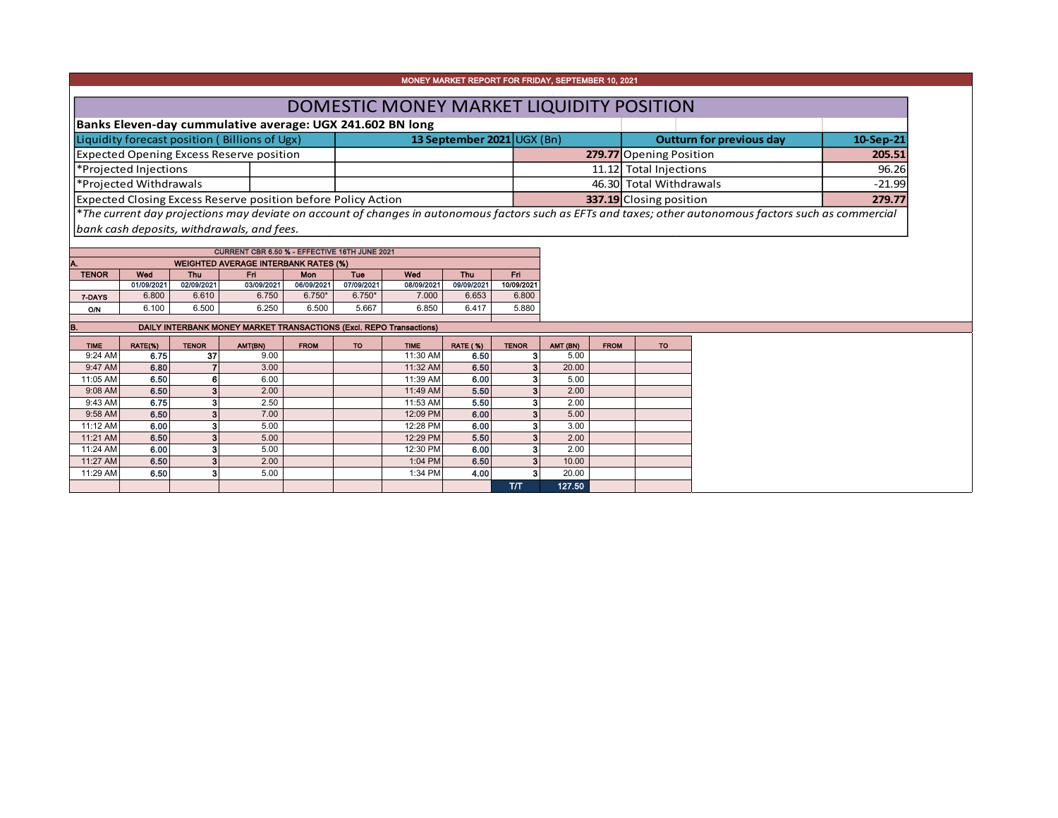|                                               |                        |                          |                                                                      |                   |                   |                                                                     | MONEY MARKET REPORT FOR FRIDAY, SEPTEMBER 10, 2021 |                                  |                |                         |                                          |                                                                                                                                                          |  |
|-----------------------------------------------|------------------------|--------------------------|----------------------------------------------------------------------|-------------------|-------------------|---------------------------------------------------------------------|----------------------------------------------------|----------------------------------|----------------|-------------------------|------------------------------------------|----------------------------------------------------------------------------------------------------------------------------------------------------------|--|
|                                               |                        |                          |                                                                      |                   |                   |                                                                     |                                                    |                                  |                |                         | DOMESTIC MONEY MARKET LIQUIDITY POSITION |                                                                                                                                                          |  |
|                                               |                        |                          | Banks Eleven-day cummulative average: UGX 241.602 BN long            |                   |                   |                                                                     |                                                    |                                  |                |                         |                                          |                                                                                                                                                          |  |
| Liquidity forecast position (Billions of Ugx) |                        |                          |                                                                      |                   |                   |                                                                     | 13 September 2021 UGX (Bn)                         |                                  |                |                         | <b>Outturn for previous day</b>          | 10-Sep-21                                                                                                                                                |  |
| Expected Opening Excess Reserve position      |                        |                          |                                                                      |                   |                   |                                                                     |                                                    |                                  |                | 279.77 Opening Position | 205.51                                   |                                                                                                                                                          |  |
| *Projected Injections                         |                        |                          |                                                                      |                   |                   |                                                                     |                                                    |                                  |                | 11.12 Total Injections  | 96.26                                    |                                                                                                                                                          |  |
|                                               | *Projected Withdrawals |                          |                                                                      |                   |                   |                                                                     |                                                    |                                  |                |                         | 46.30 Total Withdrawals                  | $-21.99$                                                                                                                                                 |  |
|                                               |                        |                          | <b>Expected Closing Excess Reserve position before Policy Action</b> |                   |                   |                                                                     |                                                    |                                  |                | 337.19 Closing position |                                          | 279.77                                                                                                                                                   |  |
|                                               |                        |                          |                                                                      |                   |                   |                                                                     |                                                    |                                  |                |                         |                                          | *The current day projections may deviate on account of changes in autonomous factors such as EFTs and taxes; other autonomous factors such as commercial |  |
|                                               |                        |                          | bank cash deposits, withdrawals, and fees.                           |                   |                   |                                                                     |                                                    |                                  |                |                         |                                          |                                                                                                                                                          |  |
|                                               |                        |                          |                                                                      |                   |                   |                                                                     |                                                    |                                  |                |                         |                                          |                                                                                                                                                          |  |
|                                               |                        |                          | <b>CURRENT CBR 6.50 % - EFFECTIVE 16TH JUNE 2021</b>                 |                   |                   |                                                                     |                                                    |                                  |                |                         |                                          |                                                                                                                                                          |  |
|                                               |                        |                          | <b>WEIGHTED AVERAGE INTERBANK RATES (%)</b>                          |                   |                   |                                                                     |                                                    |                                  |                |                         |                                          |                                                                                                                                                          |  |
| <b>TENOR</b>                                  | Wed<br>01/09/2021      | <b>Thu</b><br>02/09/2021 | Fri.<br>03/09/2021                                                   | Mon<br>06/09/2021 | Tue<br>07/09/2021 | Wed<br>08/09/2021                                                   | <b>Thu</b><br>09/09/2021                           | Fri.<br>10/09/2021               |                |                         |                                          |                                                                                                                                                          |  |
| 7-DAYS                                        | 6.800                  | 6.610                    | 6.750                                                                | $6.750*$          | $6.750*$          | 7.000                                                               | 6.653                                              | 6.800                            |                |                         |                                          |                                                                                                                                                          |  |
| <b>O/N</b>                                    | 6.100                  | 6.500                    | 6.250                                                                | 6.500             | 5.667             | 6.850                                                               | 6.417                                              | 5.880                            |                |                         |                                          |                                                                                                                                                          |  |
|                                               |                        |                          |                                                                      |                   |                   |                                                                     |                                                    |                                  |                |                         |                                          |                                                                                                                                                          |  |
| B.                                            |                        |                          |                                                                      |                   |                   |                                                                     |                                                    |                                  |                |                         |                                          |                                                                                                                                                          |  |
| <b>TIME</b>                                   |                        |                          |                                                                      |                   |                   | DAILY INTERBANK MONEY MARKET TRANSACTIONS (Excl. REPO Transactions) |                                                    |                                  |                |                         |                                          |                                                                                                                                                          |  |
|                                               | RATE(%)                | <b>TENOR</b>             | AMT(BN)                                                              | <b>FROM</b>       | <b>TO</b>         | <b>TIME</b>                                                         | <b>RATE (%)</b>                                    | <b>TENOR</b>                     | AMT (BN)       | <b>FROM</b>             | <b>TO</b>                                |                                                                                                                                                          |  |
| 9:24 AM                                       | 6.75                   | 37                       | 9.00                                                                 |                   |                   | 11:30 AM                                                            | 6.50                                               |                                  | 5.00           |                         |                                          |                                                                                                                                                          |  |
| 9:47 AM                                       | 6.80                   | $\overline{7}$           | 3.00                                                                 |                   |                   | 11:32 AM                                                            | 6.50                                               | 3 <sup>1</sup>                   | 20.00          |                         |                                          |                                                                                                                                                          |  |
| 11:05 AM                                      | 6.50                   | 6                        | 6.00                                                                 |                   |                   | 11:39 AM                                                            | 6.00                                               | 3 <sup>1</sup><br>3 <sup>1</sup> | 5.00           |                         |                                          |                                                                                                                                                          |  |
| 9:08 AM<br>9:43 AM                            | 6.50<br>6.75           | 3 <sup>1</sup><br>3      | 2.00<br>2.50                                                         |                   |                   | 11:49 AM<br>11:53 AM                                                | 5.50<br>5.50                                       | 3                                | 2.00<br>2.00   |                         |                                          |                                                                                                                                                          |  |
| 9:58 AM                                       | 6.50                   | 3 <sup>1</sup>           | 7.00                                                                 |                   |                   | 12:09 PM                                                            | 6.00                                               | 3 <sup>1</sup>                   | 5.00           |                         |                                          |                                                                                                                                                          |  |
| 11:12 AM                                      | 6.00                   | 3                        | 5.00                                                                 |                   |                   | 12:28 PM                                                            | 6.00                                               |                                  | 3.00           |                         |                                          |                                                                                                                                                          |  |
| 11:21 AM                                      | 6.50                   | 3 <sup>1</sup>           | 5.00                                                                 |                   |                   | 12:29 PM                                                            | 5.50                                               |                                  | 2.00           |                         |                                          |                                                                                                                                                          |  |
| 11:24 AM                                      | 6.00                   | 3                        | 5.00                                                                 |                   |                   | 12:30 PM                                                            | 6.00                                               |                                  | 2.00           |                         |                                          |                                                                                                                                                          |  |
| 11:27 AM<br>11:29 AM                          | 6.50<br>6.50           | 3 <sup>1</sup><br>3      | 2.00<br>5.00                                                         |                   |                   | 1:04 PM<br>1:34 PM                                                  | 6.50<br>4.00                                       | 3 <sup>1</sup>                   | 10.00<br>20.00 |                         |                                          |                                                                                                                                                          |  |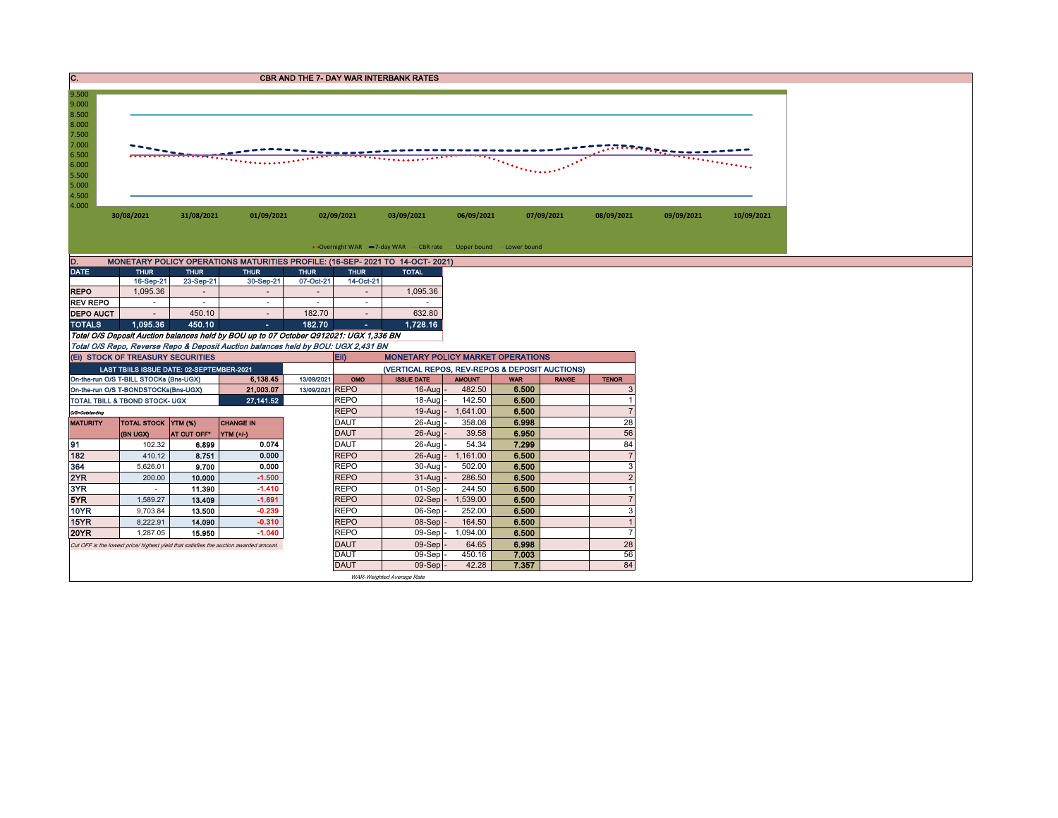| C.                                                                                              |                                           |                     |                                                                                       |                     |                              | <b>CBR AND THE 7- DAY WAR INTERBANK RATES</b>                   |                 |                |                                |                |                                          |  |
|-------------------------------------------------------------------------------------------------|-------------------------------------------|---------------------|---------------------------------------------------------------------------------------|---------------------|------------------------------|-----------------------------------------------------------------|-----------------|----------------|--------------------------------|----------------|------------------------------------------|--|
| 9.500<br>9.000<br>8.500<br>8.000<br>7.500<br>7.000<br>6.500<br>6.000<br>5.500<br>5.000<br>4.500 |                                           |                     |                                                                                       |                     |                              |                                                                 |                 |                | $\mathcal{D}_{\text{Poisson}}$ |                | <del>ההייני</del> טיית<br>. <del>.</del> |  |
| 4.000                                                                                           | 30/08/2021                                | 31/08/2021          | 01/09/2021                                                                            |                     | 02/09/2021                   | 03/09/2021                                                      | 06/09/2021      |                | 07/09/2021                     | 08/09/2021     | 09/09/2021                               |  |
|                                                                                                 |                                           |                     |                                                                                       |                     |                              | • Overnight WAR -7-day WAR - CBR rate -Upper bound -Lower bound |                 |                |                                |                |                                          |  |
| D.                                                                                              |                                           |                     | MONETARY POLICY OPERATIONS MATURITIES PROFILE: (16-SEP- 2021 TO 14-OCT- 2021)         |                     |                              |                                                                 |                 |                |                                |                |                                          |  |
| <b>DATE</b>                                                                                     | <b>THUR</b>                               | <b>THUR</b>         | <b>THUR</b>                                                                           | <b>THUR</b>         | <b>THUR</b>                  | <b>TOTAL</b>                                                    |                 |                |                                |                |                                          |  |
| <b>REPO</b>                                                                                     | 16-Sep-21<br>1,095.36                     | 23-Sep-21<br>$\sim$ | 30-Sep-21                                                                             | 07-Oct-21<br>$\sim$ | 14-Oct-21                    | 1,095.36                                                        |                 |                |                                |                |                                          |  |
| <b>REV REPO</b>                                                                                 | $\sim$                                    | $\sim$              | ٠                                                                                     | $\sim$              | $\sim$                       |                                                                 |                 |                |                                |                |                                          |  |
| <b>DEPO AUCT</b>                                                                                |                                           | 450.10              | $\sim$                                                                                | 182.70              |                              | 632.80                                                          |                 |                |                                |                |                                          |  |
| <b>TOTALS</b>                                                                                   | 1,095.36                                  | 450.10              | $\mathcal{L}_{\text{max}}$                                                            | 182.70              | $\mathcal{A}(\mathcal{A})$ . | 1,728.16                                                        |                 |                |                                |                |                                          |  |
|                                                                                                 |                                           |                     | Total O/S Deposit Auction balances held by BOU up to 07 October Q912021: UGX 1,336 BN |                     |                              |                                                                 |                 |                |                                |                |                                          |  |
|                                                                                                 |                                           |                     | Total O/S Repo, Reverse Repo & Deposit Auction balances held by BOU: UGX 2,431 BN     |                     |                              |                                                                 |                 |                |                                |                |                                          |  |
|                                                                                                 | (EI) STOCK OF TREASURY SECURITIES         |                     |                                                                                       |                     | E(i)                         | <b>MONETARY POLICY MARKET OPERATIONS</b>                        |                 |                |                                |                |                                          |  |
|                                                                                                 | LAST TBIILS ISSUE DATE: 02-SEPTEMBER-2021 |                     |                                                                                       |                     |                              | (VERTICAL REPOS, REV-REPOS & DEPOSIT AUCTIONS)                  |                 |                |                                |                |                                          |  |
|                                                                                                 | On-the-run O/S T-BILL STOCKs (Bns-UGX)    |                     | 6,138.45                                                                              | 13/09/2021          | OMO                          | <b>ISSUE DATE</b>                                               | <b>AMOUNT</b>   | <b>WAR</b>     | <b>RANGE</b>                   | <b>TENOR</b>   |                                          |  |
|                                                                                                 | On-the-run O/S T-BONDSTOCKs(Bns-UGX)      |                     | 21,003.07                                                                             | 13/09/2021 REPO     |                              | $16$ -Aug                                                       | 482.50          | 6.500          |                                |                |                                          |  |
|                                                                                                 | TOTAL TBILL & TBOND STOCK- UGX            |                     | 27, 141.52                                                                            |                     | <b>REPO</b>                  |                                                                 |                 |                |                                |                |                                          |  |
| O/S=Outstanding                                                                                 |                                           |                     |                                                                                       |                     |                              | 18-Aug                                                          | 142.50          | 6.500          |                                |                |                                          |  |
| <b>MATURITY</b>                                                                                 |                                           |                     |                                                                                       |                     | <b>REPO</b>                  | $19-Auq$                                                        | 1,641.00        | 6.500          |                                | $\overline{7}$ |                                          |  |
|                                                                                                 | <b>TOTAL STOCK YTM (%)</b>                |                     | <b>CHANGE IN</b>                                                                      |                     | <b>DAUT</b>                  | 26-Aug                                                          | 358.08          | 6.998          |                                | 28             |                                          |  |
|                                                                                                 | (BN UGX)                                  | AT CUT OFF*         | YTM (+/-)                                                                             |                     | <b>DAUT</b>                  | 26-Aug                                                          | 39.58           | 6.950          |                                | 56             |                                          |  |
| 91                                                                                              | 102.32                                    | 6.899               | 0.074                                                                                 |                     | <b>DAUT</b>                  | 26-Aug                                                          | 54.34           | 7.299          |                                | 84             |                                          |  |
| 182                                                                                             | 410.12                                    | 8.751               | 0.000                                                                                 |                     | <b>REPO</b>                  | 26-Aug                                                          | 1,161.00        | 6.500          |                                |                |                                          |  |
| 364                                                                                             | 5,626.01                                  | 9.700               | 0.000                                                                                 |                     | <b>REPO</b>                  | 30-Aug                                                          | 502.00          | 6.500          |                                | 3              |                                          |  |
| 2YR                                                                                             | 200.00                                    | 10.000              | $-1.500$                                                                              |                     | <b>REPO</b>                  | $31 - A$ ua                                                     | 286.50          | 6.500          |                                | $\overline{2}$ |                                          |  |
| 3YR                                                                                             | $\sim$                                    | 11.390              | $-1.410$                                                                              |                     | <b>REPO</b>                  | 01-Sep                                                          | 244.50          | 6.500          |                                |                |                                          |  |
| 5YR                                                                                             | 1,589.27                                  | 13.409              | $-1.691$                                                                              |                     | <b>REPO</b>                  | $02-Sep$                                                        | 1,539.00        | 6.500          |                                |                |                                          |  |
| <b>10YR</b>                                                                                     | 9,703.84                                  | 13.500              | $-0.239$                                                                              |                     | <b>REPO</b>                  | 06-Sep                                                          | 252.00          | 6.500          |                                | 3              |                                          |  |
| 15YR                                                                                            | 8,222.91                                  | 14.090              | $-0.310$                                                                              |                     | <b>REPO</b>                  | 08-Sep                                                          | 164.50          | 6.500          |                                | $\overline{1}$ |                                          |  |
| <b>20YR</b>                                                                                     | 1.287.05                                  | 15.950              | $-1.040$                                                                              |                     | <b>REPO</b>                  | 09-Sep                                                          | 1,094.00        | 6.500          |                                | $\overline{7}$ |                                          |  |
|                                                                                                 |                                           |                     | Cut OFF is the lowest price/ highest yield that satisfies the auction awarded amount. |                     | <b>DAUT</b>                  | 09-Sep                                                          | 64.65           | 6.998          |                                | 28             |                                          |  |
|                                                                                                 |                                           |                     |                                                                                       |                     | <b>DAUT</b><br><b>DAUT</b>   | 09-Sep<br>$09-Sep$ .                                            | 450.16<br>42.28 | 7.003<br>7.357 |                                | 56<br>84       |                                          |  |